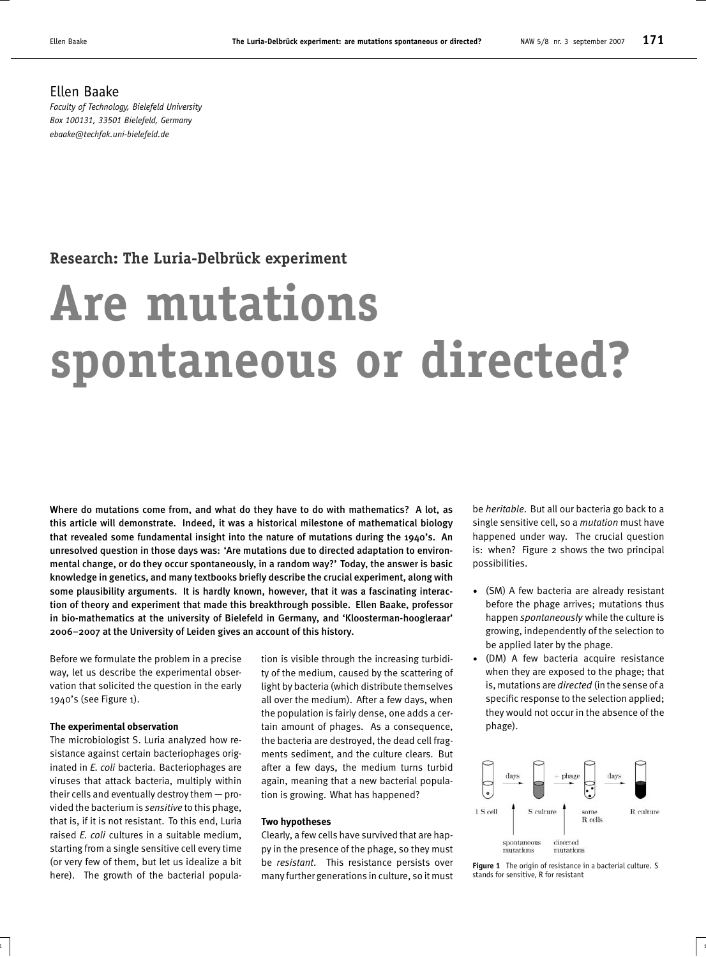# **Research: The Luria-Delbrück experiment**

# **Are mutations spontaneous or directed?**

Where do mutations come from, and what do they have to do with mathematics? A lot, as this article will demonstrate. Indeed, it was a historical milestone of mathematical biology that revealed some fundamental insight into the nature of mutations during the 1940's. An unresolved question in those days was: 'Are mutations due to directed adaptation to environmental change, or do they occur spontaneously, in a random way?' Today, the answer is basic knowledge in genetics, and many textbooks briefly describe the crucial experiment, along with some plausibility arguments. It is hardly known, however, that it was a fascinating interaction of theory and experiment that made this breakthrough possible. Ellen Baake, professor in bio-mathematics at the university of Bielefeld in Germany, and 'Kloosterman-hoogleraar' 2006–2007 at the University of Leiden gives an account of this history.

Before we formulate the problem in a precise way, let us describe the experimental observation that solicited the question in the early 1940's (see Figure 1).

### **The experimental observation**

The microbiologist S. Luria analyzed how resistance against certain bacteriophages originated in *E. coli* bacteria. Bacteriophages are viruses that attack bacteria, multiply within their cells and eventually destroy them — provided the bacterium is *sensitive* to this phage, that is, if it is not resistant. To this end, Luria raised *E. coli* cultures in a suitable medium, starting from a single sensitive cell every time (or very few of them, but let us idealize a bit here). The growth of the bacterial population is visible through the increasing turbidity of the medium, caused by the scattering of light by bacteria (which distribute themselves all over the medium). After a few days, when the population is fairly dense, one adds a certain amount of phages. As a consequence, the bacteria are destroyed, the dead cell fragments sediment, and the culture clears. But after a few days, the medium turns turbid again, meaning that a new bacterial population is growing. What has happened?

#### **Two hypotheses**

Clearly, a few cells have survived that are happy in the presence of the phage, so they must be *resistant*. This resistance persists over many further generations in culture, so it must

 $\frac{1}{1}$  1

be *heritable*. But all our bacteria go back to a single sensitive cell, so a *mutation* must have happened under way. The crucial question is: when? Figure 2 shows the two principal possibilities.

- (SM) A few bacteria are already resistant before the phage arrives; mutations thus happen *spontaneously* while the culture is growing, independently of the selection to be applied later by the phage.
- (DM) A few bacteria acquire resistance when they are exposed to the phage; that is, mutations are *directed* (in the sense of a specific response to the selection applied; they would not occur in the absence of the phage).



**Figure 1** The origin of resistance in a bacterial culture. S stands for sensitive, R for resistant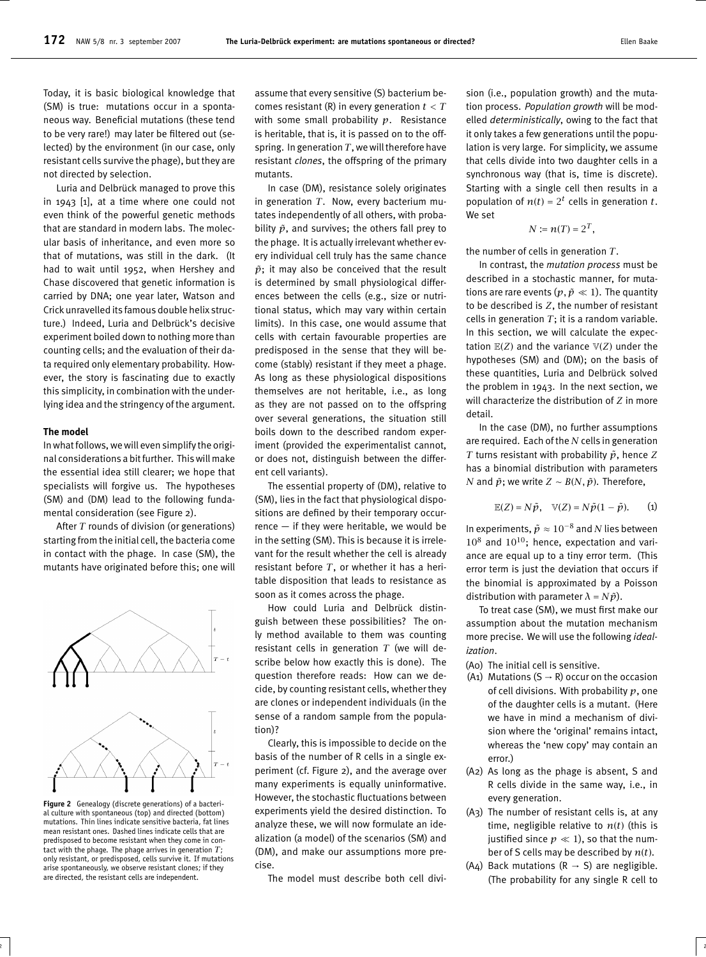Today, it is basic biological knowledge that (SM) is true: mutations occur in a spontaneous way. Beneficial mutations (these tend to be very rare!) may later be filtered out (selected) by the environment (in our case, only resistant cells survive the phage), but they are not directed by selection.

Luria and Delbrück managed to prove this in 1943 [1], at a time where one could not even think of the powerful genetic methods that are standard in modern labs. The molecular basis of inheritance, and even more so that of mutations, was still in the dark. (It had to wait until 1952, when Hershey and Chase discovered that genetic information is carried by DNA; one year later, Watson and Crick unravelled its famous double helix structure.) Indeed, Luria and Delbrück's decisive experiment boiled down to nothing more than counting cells; and the evaluation of their data required only elementary probability. However, the story is fascinating due to exactly this simplicity, in combination with the underlying idea and the stringency of the argument.

#### **The model**

In what follows, we will even simplify the original considerations a bitfurther. This will make the essential idea still clearer; we hope that specialists will forgive us. The hypotheses (SM) and (DM) lead to the following fundamental consideration (see Figure 2).

After *T* rounds of division (or generations) starting from the initial cell, the bacteria come in contact with the phage. In case (SM), the mutants have originated before this; one will



**Figure 2** Genealogy (discrete generations) of a bacterial culture with spontaneous (top) and directed (bottom) mutations. Thin lines indicate sensitive bacteria, fat lines mean resistant ones. Dashed lines indicate cells that are predisposed to become resistant when they come in contact with the phage. The phage arrives in generation *T*; only resistant, or predisposed, cells survive it. If mutations arise spontaneously, we observe resistant clones; if they are directed, the resistant cells are independent.

assume that every sensitive (S) bacterium becomes resistant (R) in every generation *t < T* with some small probability *p*. Resistance is heritable, that is, it is passed on to the offspring. In generation *T*, we will therefore have resistant *clones*, the offspring of the primary mutants.

In case (DM), resistance solely originates in generation *T*. Now, every bacterium mutates independently of all others, with probability  $\tilde{p}$ , and survives; the others fall prey to the phage. It is actually irrelevant whether every individual cell truly has the same chance  $\tilde{p}$ ; it may also be conceived that the result is determined by small physiological differences between the cells (e.g., size or nutritional status, which may vary within certain limits). In this case, one would assume that cells with certain favourable properties are predisposed in the sense that they will become (stably) resistant if they meet a phage. As long as these physiological dispositions themselves are not heritable, i.e., as long as they are not passed on to the offspring over several generations, the situation still boils down to the described random experiment (provided the experimentalist cannot, or does not, distinguish between the different cell variants).

The essential property of (DM), relative to (SM), lies in the fact that physiological dispositions are defined by their temporary occurrence — if they were heritable, we would be in the setting (SM). This is because it is irrelevant for the result whether the cell is already resistant before *T*, or whether it has a heritable disposition that leads to resistance as soon as it comes across the phage.

How could Luria and Delbrück distinguish between these possibilities? The only method available to them was counting resistant cells in generation *T* (we will describe below how exactly this is done). The question therefore reads: How can we decide, by counting resistant cells, whether they are clones or independent individuals (in the sense of a random sample from the population)?

Clearly, this is impossible to decide on the basis of the number of R cells in a single experiment (cf. Figure 2), and the average over many experiments is equally uninformative. However, the stochastic fluctuations between experiments yield the desired distinction. To analyze these, we will now formulate an idealization (a model) of the scenarios (SM) and (DM), and make our assumptions more precise.

The model must describe both cell divi-

2 |  $\overline{2}$  |  $\overline{2}$  |  $\overline{2}$  |  $\overline{2}$  |  $\overline{2}$  |  $\overline{2}$  |  $\overline{2}$  |  $\overline{2}$  |  $\overline{2}$  |  $\overline{2}$  |  $\overline{2}$  |  $\overline{2}$  |  $\overline{2}$  |  $\overline{2}$  |  $\overline{2}$  |  $\overline{2}$  |  $\overline{2}$  |  $\overline{2}$  |  $\overline{2}$  |  $\overline{2}$ 

sion (i.e., population growth) and the mutation process. *Population growth* will be modelled *deterministically*, owing to the fact that it only takes a few generations until the population is very large. For simplicity, we assume that cells divide into two daughter cells in a synchronous way (that is, time is discrete). Starting with a single cell then results in a population of  $n(t) = 2^t$  cells in generation *t*. We set

$$
N := n(T) = 2^T,
$$

the number of cells in generation *T*.

In contrast, the *mutation process* must be described in a stochastic manner, for mutations are rare events  $(p, \tilde{p} \ll 1)$ . The quantity to be described is *Z*, the number of resistant cells in generation  $T$ ; it is a random variable. In this section, we will calculate the expectation  $\mathbb{E}(Z)$  and the variance  $\mathbb{V}(Z)$  under the hypotheses (SM) and (DM); on the basis of these quantities, Luria and Delbrück solved the problem in 1943. In the next section, we will characterize the distribution of *Z* in more detail.

In the case (DM), no further assumptions are required. Each of the *N* cells in generation *T* turns resistant with probability  $\tilde{p}$ , hence *Z* has a binomial distribution with parameters *N* and  $\tilde{p}$ ; we write *Z* ∼ *B*(*N*,  $\tilde{p}$ ). Therefore,

$$
\mathbb{E}(Z) = N\tilde{p}, \quad \mathbb{V}(Z) = N\tilde{p}(1-\tilde{p}). \tag{1}
$$

In experiments,  $\tilde{p}$  ≈  $10^{-8}$  and *N* lies between  $10^8$  and  $10^{10}$ ; hence, expectation and variance are equal up to a tiny error term. (This error term is just the deviation that occurs if the binomial is approximated by a Poisson distribution with parameter  $\lambda = N \tilde{p}$ ).

To treat case (SM), we must first make our assumption about the mutation mechanism more precise. We will use the following *idealization*.

- (A0) The initial cell is sensitive.
- (A1) Mutations (S  $\rightarrow$  R) occur on the occasion of cell divisions. With probability *p*, one of the daughter cells is a mutant. (Here we have in mind a mechanism of division where the 'original' remains intact, whereas the 'new copy' may contain an error.)
- (A2) As long as the phage is absent, S and R cells divide in the same way, i.e., in every generation.
- (A3) The number of resistant cells is, at any time, negligible relative to  $n(t)$  (this is justified since  $p \ll 1$ ), so that the number of S cells may be described by *n*(*t*).
- (A4) Back mutations ( $R \rightarrow S$ ) are negligible. (The probability for any single R cell to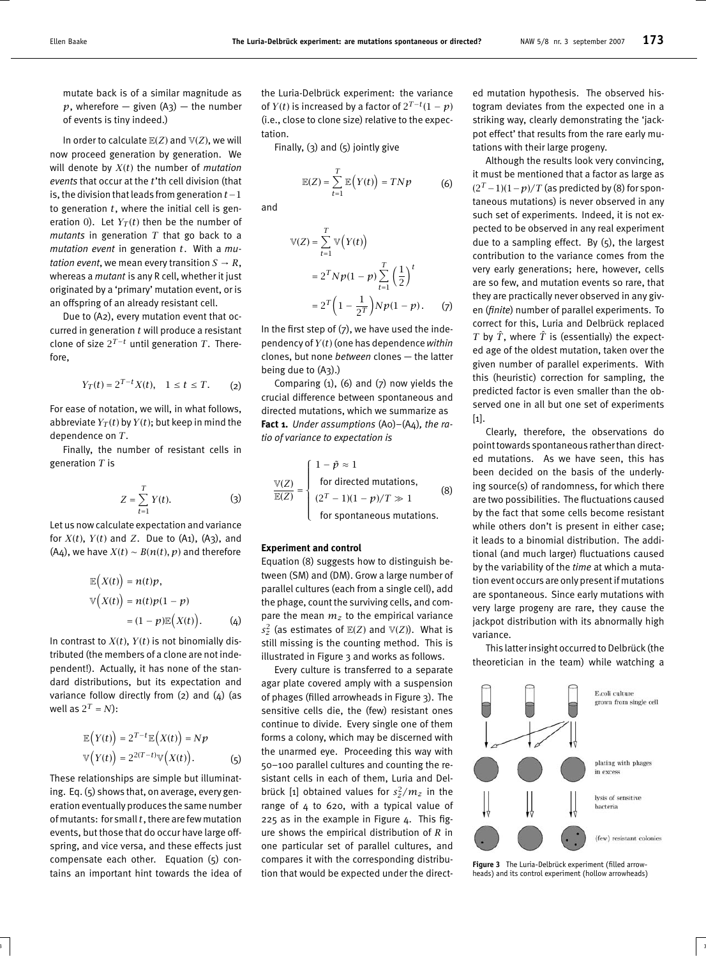mutate back is of a similar magnitude as  $p$ , wherefore  $-$  given (A<sub>3</sub>)  $-$  the number of events is tiny indeed.)

In order to calculate  $\mathbb{E}(Z)$  and  $\mathbb{V}(Z)$ , we will now proceed generation by generation. We will denote by *X*(*t*) the number of *mutation events* that occur at the *t*'th cell division (that is, the division that leadsfrom generation *t*−1 to generation *t*, where the initial cell is generation 0). Let  $Y_T(t)$  then be the number of *mutants* in generation *T* that go back to a *mutation event* in generation *t*. With a *mutation event*, we mean every transition  $S \rightarrow R$ , whereas a *mutant* is any R cell, whether it just originated by a 'primary' mutation event, or is an offspring of an already resistant cell.

Due to (A2), every mutation event that occurred in generation *t* will produce a resistant clone of size  $2^{T-t}$  until generation  $T$ . Therefore,

$$
Y_T(t) = 2^{T-t} X(t), \quad 1 \le t \le T. \tag{2}
$$

For ease of notation, we will, in what follows, abbreviate  $Y_T(t)$  by  $Y(t)$ ; but keep in mind the dependence on *T*.

Finally, the number of resistant cells in generation *T* is

$$
Z = \sum_{t=1}^{T} Y(t). \tag{3}
$$

Let us now calculate expectation and variance for  $X(t)$ ,  $Y(t)$  and  $Z$ . Due to (A1), (A3), and (A4), we have  $X(t) \sim B(n(t), p)$  and therefore

$$
\mathbb{E}\left(X(t)\right) = n(t)p,
$$
  
\n
$$
\mathbb{V}\left(X(t)\right) = n(t)p(1-p)
$$
  
\n
$$
= (1-p)\mathbb{E}\left(X(t)\right). \tag{4}
$$

In contrast to  $X(t)$ ,  $Y(t)$  is not binomially distributed (the members of a clone are not independent!). Actually, it has none of the standard distributions, but its expectation and variance follow directly from  $(2)$  and  $(4)$  (as well as  $2^T = N$ ):

$$
\mathbb{E}\left(Y(t)\right) = 2^{T-t}\mathbb{E}\left(X(t)\right) = Np
$$
  
 
$$
\mathbb{V}\left(Y(t)\right) = 2^{2(T-t)}\mathbb{V}\left(X(t)\right). \tag{5}
$$

These relationships are simple but illuminating. Eq. (5) shows that, on average, every generation eventually produces the same number of mutants: for small *t*, there are few mutation events, but those that do occur have large offspring, and vice versa, and these effects just compensate each other. Equation (5) contains an important hint towards the idea of the Luria-Delbrück experiment: the variance of *Y*(*t*) is increased by a factor of  $2^{T-t}(1-p)$ (i.e., close to clone size) relative to the expectation.

Finally, (3) and (5) jointly give

$$
\mathbb{E}(Z) = \sum_{t=1}^{T} \mathbb{E}\Big(Y(t)\Big) = TNp \tag{6}
$$

and

$$
\mathbb{V}(Z) = \sum_{t=1}^{T} \mathbb{V}\Big(Y(t)\Big)
$$
  
=  $2^{T} N p (1-p) \sum_{t=1}^{T} \left(\frac{1}{2}\right)^{t}$   
=  $2^{T} \left(1 - \frac{1}{2^{T}}\right) N p (1-p).$  (7)

In the first step of  $(7)$ , we have used the independency of *Y*(*t*) (one has dependence*within* clones, but none *between* clones — the latter being due to (A3).)

Comparing  $(1)$ ,  $(6)$  and  $(7)$  now yields the crucial difference between spontaneous and directed mutations, which we summarize as **Fact 1.** *Under assumptions* (A0)–(A4)*, the ratio of variance to expectation is*

$$
\frac{\mathbb{V}(Z)}{\mathbb{E}(Z)} = \begin{cases}\n1 - \tilde{p} \approx 1 \\
\text{for directed mutations,} \\
(2^T - 1)(1 - p)/T \gg 1 \\
\text{for spontaneous mutations.} \n\end{cases}
$$
\n(8)

## **Experiment and control**

Equation (8) suggests how to distinguish between (SM) and (DM). Grow a large number of parallel cultures (each from a single cell), add the phage, count the surviving cells, and compare the mean  $m_z$  to the empirical variance  $s_z^2$  (as estimates of  $\mathbb{E}(Z)$  and  $\mathbb{V}(Z)$ ). What is still missing is the counting method. This is illustrated in Figure 3 and works as follows.

Every culture is transferred to a separate agar plate covered amply with a suspension of phages (filled arrowheads in Figure 3). The sensitive cells die, the (few) resistant ones continue to divide. Every single one of them forms a colony, which may be discerned with the unarmed eye. Proceeding this way with 50–100 parallel cultures and counting the resistant cells in each of them, Luria and Delbrück [1] obtained values for  $s_z^2/m_z$  in the range of 4 to 620, with a typical value of 225 as in the example in Figure 4. This figure shows the empirical distribution of *R* in one particular set of parallel cultures, and compares it with the corresponding distribution that would be expected under the direct-

 $3$  ) and the contract of the contract of the contract of the contract of the contract of the contract of the contract of the contract of the contract of the contract of the contract of the contract of the contract of the

ed mutation hypothesis. The observed histogram deviates from the expected one in a striking way, clearly demonstrating the 'jackpot effect' that results from the rare early mutations with their large progeny.

Although the results look very convincing, it must be mentioned that a factor as large as  $(2<sup>T</sup> - 1)(1 - p)/T$  (as predicted by (8) for spontaneous mutations) is never observed in any such set of experiments. Indeed, it is not expected to be observed in any real experiment due to a sampling effect. By (5), the largest contribution to the variance comes from the very early generations; here, however, cells are so few, and mutation events so rare, that they are practically never observed in any given (*finite*) number of parallel experiments. To correct for this, Luria and Delbrück replaced *T* by  $\hat{T}$ , where  $\hat{T}$  is (essentially) the expected age of the oldest mutation, taken over the given number of parallel experiments. With this (heuristic) correction for sampling, the predicted factor is even smaller than the observed one in all but one set of experiments [1].

Clearly, therefore, the observations do point towards spontaneous rather than directed mutations. As we have seen, this has been decided on the basis of the underlying source(s) of randomness, for which there are two possibilities. The fluctuations caused by the fact that some cells become resistant while others don't is present in either case; it leads to a binomial distribution. The additional (and much larger) fluctuations caused by the variability of the *time* at which a mutation event occurs are only present if mutations are spontaneous. Since early mutations with very large progeny are rare, they cause the jackpot distribution with its abnormally high variance.

This latter insight occurred to Delbrück (the theoretician in the team) while watching a



**Figure 3** The Luria-Delbrück experiment (filled arrowheads) and its control experiment (hollow arrowheads)